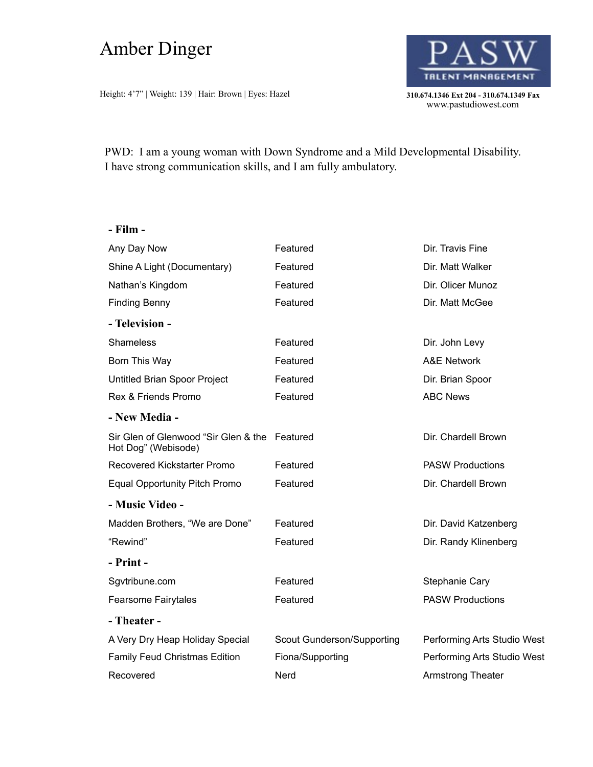## Amber Dinger

Height: 4'7" | Weight: 139 | Hair: Brown | Eyes: Hazel **310.674.1346 Ext 204 - 310.674.1349 Fax** 



310.674.1346 Ext 204 - 310.674.1349 Fax<br>www.pastudiowest.com

PWD: I am a young woman with Down Syndrome and a Mild Developmental Disability. I have strong communication skills, and I am fully ambulatory.

| 11 M |  |
|------|--|
|------|--|

| Any Day Now                                                          | Featured                   | Dir. Travis Fine            |
|----------------------------------------------------------------------|----------------------------|-----------------------------|
| Shine A Light (Documentary)                                          | Featured                   | Dir. Matt Walker            |
| Nathan's Kingdom                                                     | Featured                   | Dir. Olicer Munoz           |
| <b>Finding Benny</b>                                                 | Featured                   | Dir. Matt McGee             |
| - Television -                                                       |                            |                             |
| <b>Shameless</b>                                                     | Featured                   | Dir. John Levy              |
| Born This Way                                                        | Featured                   | <b>A&amp;E Network</b>      |
| Untitled Brian Spoor Project                                         | Featured                   | Dir. Brian Spoor            |
| Rex & Friends Promo                                                  | Featured                   | <b>ABC News</b>             |
| - New Media -                                                        |                            |                             |
| Sir Glen of Glenwood "Sir Glen & the Featured<br>Hot Dog" (Webisode) |                            | Dir. Chardell Brown         |
| Recovered Kickstarter Promo                                          | Featured                   | <b>PASW Productions</b>     |
| <b>Equal Opportunity Pitch Promo</b>                                 | Featured                   | Dir. Chardell Brown         |
| - Music Video -                                                      |                            |                             |
| Madden Brothers, "We are Done"                                       | Featured                   | Dir. David Katzenberg       |
| "Rewind"                                                             | Featured                   | Dir. Randy Klinenberg       |
| - Print -                                                            |                            |                             |
| Sgvtribune.com                                                       | Featured                   | Stephanie Cary              |
| <b>Fearsome Fairytales</b>                                           | Featured                   | <b>PASW Productions</b>     |
| - Theater -                                                          |                            |                             |
| A Very Dry Heap Holiday Special                                      | Scout Gunderson/Supporting | Performing Arts Studio West |
| <b>Family Feud Christmas Edition</b>                                 | Fiona/Supporting           | Performing Arts Studio West |
| Recovered                                                            | Nerd                       | <b>Armstrong Theater</b>    |
|                                                                      |                            |                             |